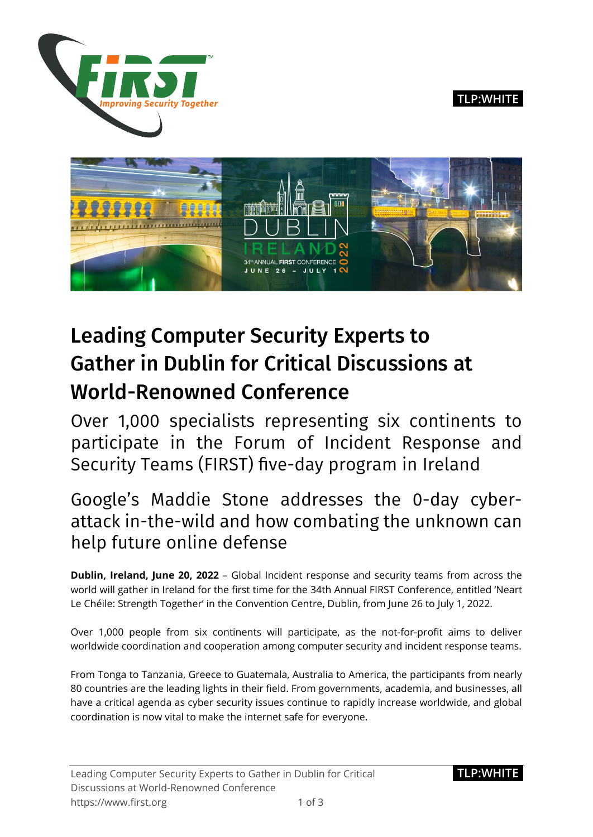

**TLP:WHITE**



# Leading Computer Security Experts to Gather in Dublin for Critical Discussions at World-Renowned Conference

Over 1,000 specialists representing six continents to participate in the Forum of Incident Response and Security Teams (FIRST) five-day program in Ireland

# Google's Maddie Stone addresses the 0-day cyberattack in-the-wild and how combating the unknown can help future online defense

**Dublin, Ireland, June 20, 2022** – Global Incident response and security teams from across the world will gather in Ireland for the first time for the 34th Annual FIRST Conference, entitled 'Neart Le Chéile: Strength Together' in the Convention Centre, Dublin, from June 26 to July 1, 2022.

Over 1,000 people from six continents will participate, as the not-for-profit aims to deliver worldwide coordination and cooperation among computer security and incident response teams.

From Tonga to Tanzania, Greece to Guatemala, Australia to America, the participants from nearly 80 countries are the leading lights in their field. From governments, academia, and businesses, all have a critical agenda as cyber security issues continue to rapidly increase worldwide, and global coordination is now vital to make the internet safe for everyone.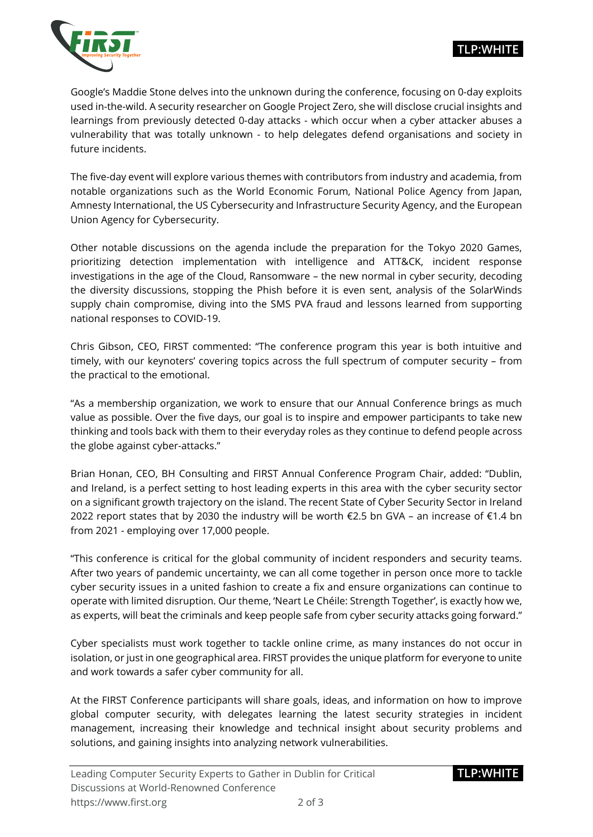



Google's Maddie Stone delves into the unknown during the conference, focusing on 0-day exploits used in-the-wild. A security researcher on Google Project Zero, she will disclose crucial insights and learnings from previously detected 0-day attacks - which occur when a cyber attacker abuses a vulnerability that was totally unknown - to help delegates defend organisations and society in future incidents.

The five-day event will explore various themes with contributors from industry and academia, from notable organizations such as the World Economic Forum, National Police Agency from Japan, Amnesty International, the US Cybersecurity and Infrastructure Security Agency, and the European Union Agency for Cybersecurity.

Other notable discussions on the agenda include the preparation for the Tokyo 2020 Games, prioritizing detection implementation with intelligence and ATT&CK, incident response investigations in the age of the Cloud, Ransomware – the new normal in cyber security, decoding the diversity discussions, stopping the Phish before it is even sent, analysis of the SolarWinds supply chain compromise, diving into the SMS PVA fraud and lessons learned from supporting national responses to COVID-19.

Chris Gibson, CEO, FIRST commented: "The conference program this year is both intuitive and timely, with our keynoters' covering topics across the full spectrum of computer security – from the practical to the emotional.

"As a membership organization, we work to ensure that our Annual Conference brings as much value as possible. Over the five days, our goal is to inspire and empower participants to take new thinking and tools back with them to their everyday roles as they continue to defend people across the globe against cyber-attacks."

Brian Honan, CEO, BH Consulting and FIRST Annual Conference Program Chair, added: "Dublin, and Ireland, is a perfect setting to host leading experts in this area with the cyber security sector on a significant growth trajectory on the island. The recent State of Cyber Security Sector in Ireland 2022 report states that by 2030 the industry will be worth €2.5 bn GVA – an increase of €1.4 bn from 2021 - employing over 17,000 people.

"This conference is critical for the global community of incident responders and security teams. After two years of pandemic uncertainty, we can all come together in person once more to tackle cyber security issues in a united fashion to create a fix and ensure organizations can continue to operate with limited disruption. Our theme, 'Neart Le Chéile: Strength Together', is exactly how we, as experts, will beat the criminals and keep people safe from cyber security attacks going forward."

Cyber specialists must work together to tackle online crime, as many instances do not occur in isolation, or just in one geographical area. FIRST provides the unique platform for everyone to unite and work towards a safer cyber community for all.

At the FIRST Conference participants will share goals, ideas, and information on how to improve global computer security, with delegates learning the latest security strategies in incident management, increasing their knowledge and technical insight about security problems and solutions, and gaining insights into analyzing network vulnerabilities.